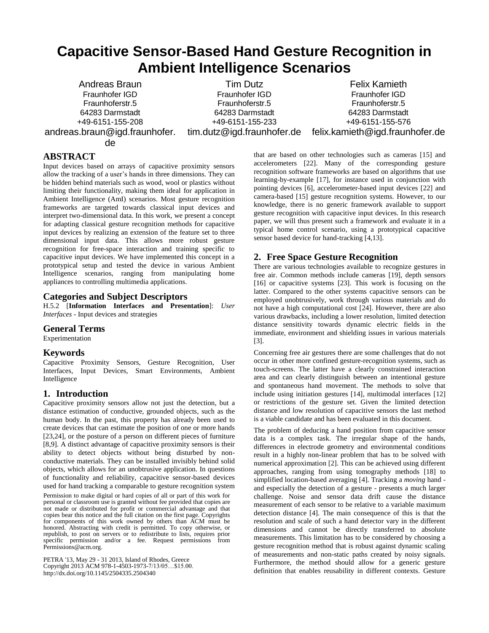## Andreas Braun, Tim Dutz, Felix Kamieth:

**Capacitive Sensor-Based Hand Gesture Recognition in Ambient Intelligence Scenarios.** In: PETRA '13 - Proceedings of the 6th International Conference on Pervasive Technologies Related to Assistive Environments, ACM, May 2013. ISBN 978-1-4503-1973-7.

# **Capacitive Sensor-Based Hand Gesture Recognition in Ambient Intelligence Scenarios**

Andreas Braun Fraunhofer IGD Fraunhoferstr.5 64283 Darmstadt +49-6151-155-208

andreas.braun@igd.fraunhofer. de

Tim Dutz Fraunhofer IGD Fraunhoferstr.5 64283 Darmstadt +49-6151-155-233 tim.dutz@igd.fraunhofer.de

Felix Kamieth Fraunhofer IGD Fraunhoferstr.5 64283 Darmstadt +49-6151-155-576 felix.kamieth@igd.fraunhofer.de

# **ABSTRACT**

Input devices based on arrays of capacitive proximity sensors allow the tracking of a user's hands in three dimensions. They can be hidden behind materials such as wood, wool or plastics without limiting their functionality, making them ideal for application in Ambient Intelligence (AmI) scenarios. Most gesture recognition frameworks are targeted towards classical input devices and interpret two-dimensional data. In this work, we present a concept for adapting classical gesture recognition methods for capacitive input devices by realizing an extension of the feature set to three dimensional input data. This allows more robust gesture recognition for free-space interaction and training specific to capacitive input devices. We have implemented this concept in a prototypical setup and tested the device in various Ambient Intelligence scenarios, ranging from manipulating home appliances to controlling multimedia applications.

## **Categories and Subject Descriptors**

H.5.2 [**Information Interfaces and Presentation**]: *User Interfaces -* Input devices and strategies

#### **General Terms**

Experimentation

### **Keywords**

Capacitive Proximity Sensors, Gesture Recognition, User Interfaces, Input Devices, Smart Environments, Ambient Intelligence

## **1. Introduction**

Capacitive proximity sensors allow not just the detection, but a distance estimation of conductive, grounded objects, such as the human body. In the past, this property has already been used to create devices that can estimate the position of one or more hands [23,24], or the posture of a person on different pieces of furniture [8,9]. A distinct advantage of capacitive proximity sensors is their ability to detect objects without being disturbed by nonconductive materials. They can be installed invisibly behind solid objects, which allows for an unobtrusive application. In questions of functionality and reliability, capacitive sensor-based devices used for hand tracking a comparable to gesture recognition system

Permission to make digital or hard copies of all or part of this work for personal or classroom use is granted without fee provided that copies are not made or distributed for profit or commercial advantage and that copies bear this notice and the full citation on the first page. Copyrights for components of this work owned by others than ACM must be honored. Abstracting with credit is permitted. To copy otherwise, or republish, to post on servers or to redistribute to lists, requires prior specific permission and/or a fee. Request permissions from Permissions@acm.org.

PETRA '13, May 29 - 31 2013, Island of Rhodes, Greece Copyright 2013 ACM 978-1-4503-1973-7/13/05…\$15.00. http://dx.doi.org/10.1145/2504335.2504340

that are based on other technologies such as cameras [15] and accelerometers [22]. Many of the corresponding gesture recognition software frameworks are based on algorithms that use learning-by-example [17], for instance used in conjunction with pointing devices [6], accelerometer-based input devices [22] and camera-based [15] gesture recognition systems. However, to our knowledge, there is no generic framework available to support gesture recognition with capacitive input devices. In this research paper, we will thus present such a framework and evaluate it in a typical home control scenario, using a prototypical capacitive sensor based device for hand-tracking [4,13].

# **2. Free Space Gesture Recognition**

There are various technologies available to recognize gestures in free air. Common methods include cameras [19], depth sensors [16] or capacitive systems [23]. This work is focusing on the latter. Compared to the other systems capacitive sensors can be employed unobtrusively, work through various materials and do not have a high computational cost [24]. However, there are also various drawbacks, including a lower resolution, limited detection distance sensitivity towards dynamic electric fields in the immediate, environment and shielding issues in various materials [3].

Concerning free air gestures there are some challenges that do not occur in other more confined gesture-recognition systems, such as touch-screens. The latter have a clearly constrained interaction area and can clearly distinguish between an intentional gesture and spontaneous hand movement. The methods to solve that include using initiation gestures [14], multimodal interfaces [12] or restrictions of the gesture set. Given the limited detection distance and low resolution of capacitive sensors the last method is a viable candidate and has been evaluated in this document.

The problem of deducing a hand position from capacitive sensor data is a complex task. The irregular shape of the hands, differences in electrode geometry and environmental conditions result in a highly non-linear problem that has to be solved with numerical approximation [2]. This can be achieved using different approaches, ranging from using tomography methods [18] to simplified location-based averaging [4]. Tracking a *moving* hand and especially the detection of a gesture - presents a much larger challenge. Noise and sensor data drift cause the distance measurement of each sensor to be relative to a variable maximum detection distance [4]. The main consequence of this is that the resolution and scale of such a hand detector vary in the different dimensions and cannot be directly transferred to absolute measurements. This limitation has to be considered by choosing a gesture recognition method that is robust against dynamic scaling of measurements and non-static paths created by noisy signals. Furthermore, the method should allow for a generic gesture definition that enables reusability in different contexts. Gesture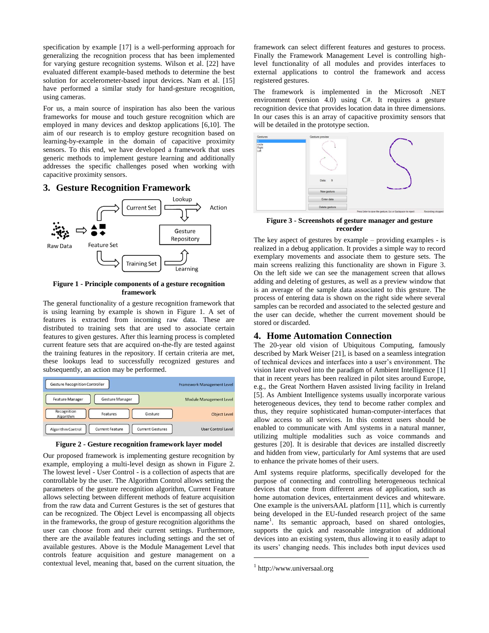specification by example [17] is a well-performing approach for generalizing the recognition process that has been implemented for varying gesture recognition systems. Wilson et al. [22] have evaluated different example-based methods to determine the best solution for accelerometer-based input devices. Nam et al. [15] have performed a similar study for hand-gesture recognition, using cameras.

For us, a main source of inspiration has also been the various frameworks for mouse and touch gesture recognition which are employed in many devices and desktop applications [6,10]. The aim of our research is to employ gesture recognition based on learning-by-example in the domain of capacitive proximity sensors. To this end, we have developed a framework that uses generic methods to implement gesture learning and additionally addresses the specific challenges posed when working with capacitive proximity sensors.

#### **3. Gesture Recognition Framework**



#### <span id="page-1-0"></span>**Figure 1 - Principle components of a gesture recognition framework**

The general functionality of a gesture recognition framework that is using learning by example is shown in [Figure 1.](#page-1-0) A set of features is extracted from incoming raw data. These are distributed to training sets that are used to associate certain features to given gestures. After this learning process is completed current feature sets that are acquired on-the-fly are tested against the training features in the repository. If certain criteria are met, these lookups lead to successfully recognized gestures and subsequently, an action may be performed.



**Figure 2 - Gesture recognition framework layer model** 

<span id="page-1-1"></span>Our proposed framework is implementing gesture recognition by example, employing a multi-level design as shown in [Figure 2.](#page-1-1) The lowest level - User Control - is a collection of aspects that are controllable by the user. The Algorithm Control allows setting the parameters of the gesture recognition algorithm, Current Feature allows selecting between different methods of feature acquisition from the raw data and Current Gestures is the set of gestures that can be recognized. The Object Level is encompassing all objects in the frameworks, the group of gesture recognition algorithms the user can choose from and their current settings. Furthermore, there are the available features including settings and the set of available gestures. Above is the Module Management Level that controls feature acquisition and gesture management on a contextual level, meaning that, based on the current situation, the

framework can select different features and gestures to process. Finally the Framework Management Level is controlling highlevel functionality of all modules and provides interfaces to external applications to control the framework and access registered gestures.

The framework is implemented in the Microsoft .NET environment (version 4.0) using C#. It requires a gesture recognition device that provides location data in three dimensions. In our cases this is an array of capacitive proximity sensors that will be detailed in the prototype section.



<span id="page-1-2"></span>**Figure 3 - Screenshots of gesture manager and gesture recorder** 

The key aspect of gestures by example – providing examples - is realized in a debug application. It provides a simple way to record exemplary movements and associate them to gesture sets. The main screens realizing this functionality are shown in [Figure 3.](#page-1-2) On the left side we can see the management screen that allows adding and deleting of gestures, as well as a preview window that is an average of the sample data associated to this gesture. The process of entering data is shown on the right side where several samples can be recorded and associated to the selected gesture and the user can decide, whether the current movement should be stored or discarded.

## **4. Home Automation Connection**

The 20-year old vision of Ubiquitous Computing, famously described by Mark Weiser [21], is based on a seamless integration of technical devices and interfaces into a user's environment. The vision later evolved into the paradigm of Ambient Intelligence [1] that in recent years has been realized in pilot sites around Europe, e.g., the Great Northern Haven assisted living facility in Ireland [5]. As Ambient Intelligence systems usually incorporate various heterogeneous devices, they tend to become rather complex and thus, they require sophisticated human-computer-interfaces that allow access to all services. In this context users should be enabled to communicate with AmI systems in a natural manner, utilizing multiple modalities such as voice commands and gestures [20]. It is desirable that devices are installed discreetly and hidden from view, particularly for AmI systems that are used to enhance the private homes of their users.

AmI systems require platforms, specifically developed for the purpose of connecting and controlling heterogeneous technical devices that come from different areas of application, such as home automation devices, entertainment devices and whiteware. One example is the universAAL platform [11], which is currently being developed in the EU-funded research project of the same name<sup>1</sup>. Its semantic approach, based on shared ontologies, supports the quick and reasonable integration of additional devices into an existing system, thus allowing it to easily adapt to its users' changing needs. This includes both input devices used

 $\overline{a}$ 

<sup>1</sup> http://www.universaal.org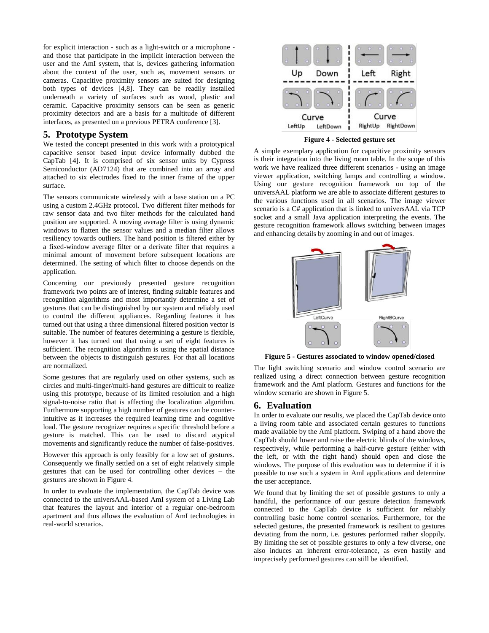for explicit interaction - such as a light-switch or a microphone and those that participate in the implicit interaction between the user and the AmI system, that is, devices gathering information about the context of the user, such as, movement sensors or cameras. Capacitive proximity sensors are suited for designing both types of devices [4,8]. They can be readily installed underneath a variety of surfaces such as wood, plastic and ceramic. Capacitive proximity sensors can be seen as generic proximity detectors and are a basis for a multitude of different interfaces, as presented on a previous PETRA conference [3].

#### **5. Prototype System**

We tested the concept presented in this work with a prototypical capacitive sensor based input device informally dubbed the CapTab [4]. It is comprised of six sensor units by Cypress Semiconductor (AD7124) that are combined into an array and attached to six electrodes fixed to the inner frame of the upper surface.

The sensors communicate wirelessly with a base station on a PC using a custom 2.4GHz protocol. Two different filter methods for raw sensor data and two filter methods for the calculated hand position are supported. A moving average filter is using dynamic windows to flatten the sensor values and a median filter allows resiliency towards outliers. The hand position is filtered either by a fixed-window average filter or a derivate filter that requires a minimal amount of movement before subsequent locations are determined. The setting of which filter to choose depends on the application.

Concerning our previously presented gesture recognition framework two points are of interest, finding suitable features and recognition algorithms and most importantly determine a set of gestures that can be distinguished by our system and reliably used to control the different appliances. Regarding features it has turned out that using a three dimensional filtered position vector is suitable. The number of features determining a gesture is flexible, however it has turned out that using a set of eight features is sufficient. The recognition algorithm is using the spatial distance between the objects to distinguish gestures. For that all locations are normalized.

Some gestures that are regularly used on other systems, such as circles and multi-finger/multi-hand gestures are difficult to realize using this prototype, because of its limited resolution and a high signal-to-noise ratio that is affecting the localization algorithm. Furthermore supporting a high number of gestures can be counterintuitive as it increases the required learning time and cognitive load. The gesture recognizer requires a specific threshold before a gesture is matched. This can be used to discard atypical movements and significantly reduce the number of false-positives.

However this approach is only feasibly for a low set of gestures. Consequently we finally settled on a set of eight relatively simple gestures that can be used for controlling other devices – the gestures are shown in [Figure 4.](#page-2-0)

In order to evaluate the implementation, the CapTab device was connected to the universAAL-based AmI system of a Living Lab that features the layout and interior of a regular one-bedroom apartment and thus allows the evaluation of AmI technologies in real-world scenarios.



**Figure 4 - Selected gesture set** 

<span id="page-2-0"></span>A simple exemplary application for capacitive proximity sensors is their integration into the living room table. In the scope of this work we have realized three different scenarios - using an image viewer application, switching lamps and controlling a window. Using our gesture recognition framework on top of the universAAL platform we are able to associate different gestures to the various functions used in all scenarios. The image viewer scenario is a C# application that is linked to universAAL via TCP socket and a small Java application interpreting the events. The gesture recognition framework allows switching between images and enhancing details by zooming in and out of images.



**Figure 5 - Gestures associated to window opened/closed** 

<span id="page-2-1"></span>The light switching scenario and window control scenario are realized using a direct connection between gesture recognition framework and the AmI platform. Gestures and functions for the window scenario are shown i[n Figure 5.](#page-2-1)

#### **6. Evaluation**

In order to evaluate our results, we placed the CapTab device onto a living room table and associated certain gestures to functions made available by the AmI platform. Swiping of a hand above the CapTab should lower and raise the electric blinds of the windows, respectively, while performing a half-curve gesture (either with the left, or with the right hand) should open and close the windows. The purpose of this evaluation was to determine if it is possible to use such a system in AmI applications and determine the user acceptance.

We found that by limiting the set of possible gestures to only a handful, the performance of our gesture detection framework connected to the CapTab device is sufficient for reliably controlling basic home control scenarios. Furthermore, for the selected gestures, the presented framework is resilient to gestures deviating from the norm, i.e. gestures performed rather sloppily. By limiting the set of possible gestures to only a few diverse, one also induces an inherent error-tolerance, as even hastily and imprecisely performed gestures can still be identified.